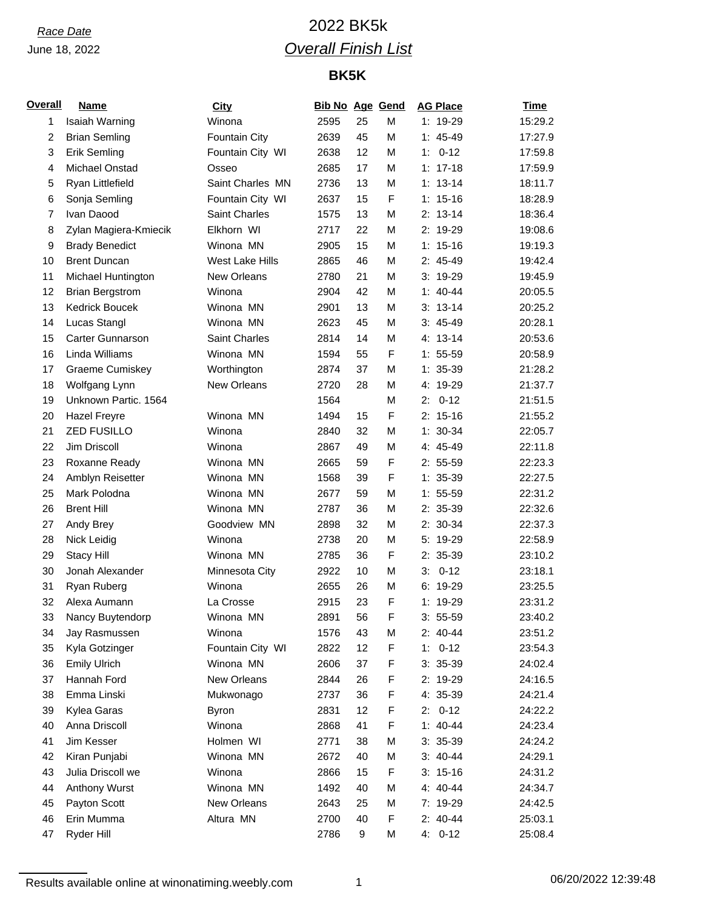# *Race Date* 2022 BK5k *Overall Finish List*

## **BK5K**

| <b>Overall</b> | <b>Name</b>             | <b>City</b>      | <b>Bib No Age Gend</b> |    |   | <b>AG Place</b> | <b>Time</b> |
|----------------|-------------------------|------------------|------------------------|----|---|-----------------|-------------|
| 1              | Isaiah Warning          | Winona           | 2595                   | 25 | M | 1: 19-29        | 15:29.2     |
| $\overline{c}$ | <b>Brian Semling</b>    | Fountain City    | 2639                   | 45 | M | $1: 45-49$      | 17:27.9     |
| 3              | <b>Erik Semling</b>     | Fountain City WI | 2638                   | 12 | M | $0 - 12$<br>1:  | 17:59.8     |
| 4              | Michael Onstad          | Osseo            | 2685                   | 17 | M | $1: 17-18$      | 17:59.9     |
| 5              | Ryan Littlefield        | Saint Charles MN | 2736                   | 13 | M | $1: 13-14$      | 18:11.7     |
| 6              | Sonja Semling           | Fountain City WI | 2637                   | 15 | F | $1: 15-16$      | 18:28.9     |
| $\overline{7}$ | Ivan Daood              | Saint Charles    | 1575                   | 13 | M | $2: 13-14$      | 18:36.4     |
| 8              | Zylan Magiera-Kmiecik   | Elkhorn WI       | 2717                   | 22 | M | 2: 19-29        | 19:08.6     |
| 9              | <b>Brady Benedict</b>   | Winona MN        | 2905                   | 15 | M | $1: 15-16$      | 19:19.3     |
| 10             | <b>Brent Duncan</b>     | West Lake Hills  | 2865                   | 46 | M | 2: 45-49        | 19:42.4     |
| 11             | Michael Huntington      | New Orleans      | 2780                   | 21 | M | 3: 19-29        | 19:45.9     |
| 12             | <b>Brian Bergstrom</b>  | Winona           | 2904                   | 42 | M | $1: 40 - 44$    | 20:05.5     |
| 13             | Kedrick Boucek          | Winona MN        | 2901                   | 13 | M | $3: 13-14$      | 20:25.2     |
| 14             | Lucas Stangl            | Winona MN        | 2623                   | 45 | M | $3: 45-49$      | 20:28.1     |
| 15             | <b>Carter Gunnarson</b> | Saint Charles    | 2814                   | 14 | M | $4: 13-14$      | 20:53.6     |
| 16             | Linda Williams          | Winona MN        | 1594                   | 55 | F | $1: 55-59$      | 20:58.9     |
| 17             | Graeme Cumiskey         | Worthington      | 2874                   | 37 | M | $1: 35-39$      | 21:28.2     |
| 18             | Wolfgang Lynn           | New Orleans      | 2720                   | 28 | M | 4: 19-29        | 21:37.7     |
| 19             | Unknown Partic. 1564    |                  | 1564                   |    | M | $0 - 12$<br>2:  | 21:51.5     |
| 20             | <b>Hazel Freyre</b>     | Winona MN        | 1494                   | 15 | F | $2: 15-16$      | 21:55.2     |
| 21             | <b>ZED FUSILLO</b>      | Winona           | 2840                   | 32 | M | $1: 30-34$      | 22:05.7     |
| 22             | Jim Driscoll            | Winona           | 2867                   | 49 | M | 4: 45-49        | 22:11.8     |
| 23             | Roxanne Ready           | Winona MN        | 2665                   | 59 | F | $2: 55-59$      | 22:23.3     |
| 24             | Amblyn Reisetter        | Winona MN        | 1568                   | 39 | F | $1: 35-39$      | 22:27.5     |
| 25             | Mark Polodna            | Winona MN        | 2677                   | 59 | M | $1: 55 - 59$    | 22:31.2     |
| 26             | <b>Brent Hill</b>       | Winona MN        | 2787                   | 36 | M | 2: 35-39        | 22:32.6     |
| 27             | Andy Brey               | Goodview MN      | 2898                   | 32 | M | 2: 30-34        | 22:37.3     |
| 28             | Nick Leidig             | Winona           | 2738                   | 20 | M | 5: 19-29        | 22:58.9     |
| 29             | <b>Stacy Hill</b>       | Winona MN        | 2785                   | 36 | F | 2: 35-39        | 23:10.2     |
| 30             | Jonah Alexander         | Minnesota City   | 2922                   | 10 | M | $3: 0-12$       | 23:18.1     |
| 31             | Ryan Ruberg             | Winona           | 2655                   | 26 | M | 6: 19-29        | 23:25.5     |
| 32             | Alexa Aumann            | La Crosse        | 2915                   | 23 | F | 1: 19-29        | 23:31.2     |
| 33             | Nancy Buytendorp        | Winona MN        | 2891                   | 56 | F | $3: 55-59$      | 23:40.2     |
| 34             | Jay Rasmussen           | Winona           | 1576                   | 43 | М | $2: 40-44$      | 23:51.2     |
| 35             | Kyla Gotzinger          | Fountain City WI | 2822                   | 12 | F | $1: 0-12$       | 23:54.3     |
| 36             | <b>Emily Ulrich</b>     | Winona MN        | 2606                   | 37 | F | $3: 35-39$      | 24:02.4     |
| 37             | Hannah Ford             | New Orleans      | 2844                   | 26 | F | 2: 19-29        | 24:16.5     |
| 38             | Emma Linski             | Mukwonago        | 2737                   | 36 | F | 4: 35-39        | 24:21.4     |
| 39             | Kylea Garas             | <b>Byron</b>     | 2831                   | 12 | F | 2:<br>$0 - 12$  | 24:22.2     |
| 40             | Anna Driscoll           | Winona           | 2868                   | 41 | F | $1: 40-44$      | 24:23.4     |
| 41             | Jim Kesser              | Holmen WI        | 2771                   | 38 | M | $3: 35-39$      | 24:24.2     |
| 42             | Kiran Punjabi           | Winona MN        | 2672                   | 40 | М | $3: 40-44$      | 24:29.1     |
| 43             | Julia Driscoll we       | Winona           | 2866                   | 15 | F | $3: 15-16$      | 24:31.2     |
| 44             | Anthony Wurst           | Winona MN        | 1492                   | 40 | M | 4: 40-44        | 24:34.7     |
| 45             | Payton Scott            | New Orleans      | 2643                   | 25 | М | 7: 19-29        | 24:42.5     |
| 46             | Erin Mumma              | Altura MN        | 2700                   | 40 | F | $2: 40-44$      | 25:03.1     |
| 47             | Ryder Hill              |                  | 2786                   | 9  | М | $4: 0-12$       | 25:08.4     |
|                |                         |                  |                        |    |   |                 |             |

Results available online at winonatiming.weebly.com 1 06/20/2022 12:39:48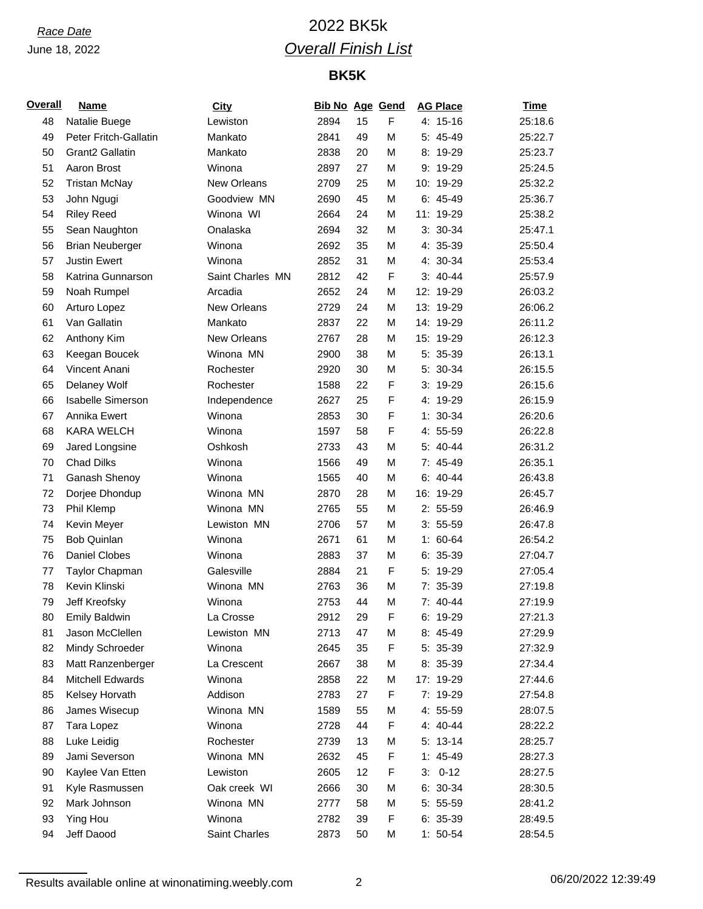# *Race Date* 2022 BK5k *Overall Finish List*

## **BK5K**

| <b>Overall</b> | <b>Name</b>                 | City             | <b>Bib No Age Gend</b> |    |   | <b>AG Place</b> | <b>Time</b> |
|----------------|-----------------------------|------------------|------------------------|----|---|-----------------|-------------|
| 48             | Natalie Buege               | Lewiston         | 2894                   | 15 | F | 4: 15-16        | 25:18.6     |
| 49             | Peter Fritch-Gallatin       | Mankato          | 2841                   | 49 | M | 5: 45-49        | 25:22.7     |
| 50             | Grant <sub>2</sub> Gallatin | Mankato          | 2838                   | 20 | M | 8: 19-29        | 25:23.7     |
| 51             | Aaron Brost                 | Winona           | 2897                   | 27 | M | 9: 19-29        | 25:24.5     |
| 52             | <b>Tristan McNay</b>        | New Orleans      | 2709                   | 25 | M | 10: 19-29       | 25:32.2     |
| 53             | John Ngugi                  | Goodview MN      | 2690                   | 45 | M | $6: 45-49$      | 25:36.7     |
| 54             | <b>Riley Reed</b>           | Winona WI        | 2664                   | 24 | M | 11: 19-29       | 25:38.2     |
| 55             | Sean Naughton               | Onalaska         | 2694                   | 32 | M | $3: 30-34$      | 25:47.1     |
| 56             | <b>Brian Neuberger</b>      | Winona           | 2692                   | 35 | M | 4: 35-39        | 25:50.4     |
| 57             | <b>Justin Ewert</b>         | Winona           | 2852                   | 31 | M | 4: 30-34        | 25:53.4     |
| 58             | Katrina Gunnarson           | Saint Charles MN | 2812                   | 42 | F | $3: 40-44$      | 25:57.9     |
| 59             | Noah Rumpel                 | Arcadia          | 2652                   | 24 | M | 12: 19-29       | 26:03.2     |
| 60             | Arturo Lopez                | New Orleans      | 2729                   | 24 | M | 13: 19-29       | 26:06.2     |
| 61             | Van Gallatin                | Mankato          | 2837                   | 22 | M | 14: 19-29       | 26:11.2     |
| 62             | Anthony Kim                 | New Orleans      | 2767                   | 28 | M | 15: 19-29       | 26:12.3     |
| 63             | Keegan Boucek               | Winona MN        | 2900                   | 38 | M | 5: 35-39        | 26:13.1     |
| 64             | Vincent Anani               | Rochester        | 2920                   | 30 | M | 5: 30-34        | 26:15.5     |
| 65             | Delaney Wolf                | Rochester        | 1588                   | 22 | F | $3: 19-29$      | 26:15.6     |
| 66             | <b>Isabelle Simerson</b>    | Independence     | 2627                   | 25 | F | 4: 19-29        | 26:15.9     |
| 67             | Annika Ewert                | Winona           | 2853                   | 30 | F | $1: 30-34$      | 26:20.6     |
| 68             | <b>KARA WELCH</b>           | Winona           | 1597                   | 58 | F | 4: 55-59        | 26:22.8     |
| 69             | Jared Longsine              | Oshkosh          | 2733                   | 43 | M | 5: 40-44        | 26:31.2     |
| 70             | <b>Chad Dilks</b>           | Winona           | 1566                   | 49 | M | 7: 45-49        | 26:35.1     |
| 71             | Ganash Shenoy               | Winona           | 1565                   | 40 | M | $6: 40-44$      | 26:43.8     |
| 72             | Dorjee Dhondup              | Winona MN        | 2870                   | 28 | M | 16: 19-29       | 26:45.7     |
| 73             | Phil Klemp                  | Winona MN        | 2765                   | 55 | M | $2: 55-59$      | 26:46.9     |
| 74             | Kevin Meyer                 | Lewiston MN      | 2706                   | 57 | M | $3: 55-59$      | 26:47.8     |
| 75             | <b>Bob Quinlan</b>          | Winona           | 2671                   | 61 | M | $1: 60-64$      | 26:54.2     |
| 76             | <b>Daniel Clobes</b>        | Winona           | 2883                   | 37 | M | 6: 35-39        | 27:04.7     |
| 77             | Taylor Chapman              | Galesville       | 2884                   | 21 | F | 5: 19-29        | 27:05.4     |
| 78             | Kevin Klinski               | Winona MN        | 2763                   | 36 | M | 7: 35-39        | 27:19.8     |
| 79             | Jeff Kreofsky               | Winona           | 2753                   | 44 | M | $7: 40-44$      | 27:19.9     |
| 80             | <b>Emily Baldwin</b>        | La Crosse        | 2912                   | 29 | F | 6: 19-29        | 27:21.3     |
| 81             | Jason McClellen             | Lewiston MN      | 2713                   | 47 | M | 8: 45-49        | 27:29.9     |
| 82             | Mindy Schroeder             | Winona           | 2645                   | 35 | F | 5: 35-39        | 27:32.9     |
| 83             | Matt Ranzenberger           | La Crescent      | 2667                   | 38 | M | 8: 35-39        | 27:34.4     |
| 84             | <b>Mitchell Edwards</b>     | Winona           | 2858                   | 22 | M | 17: 19-29       | 27:44.6     |
| 85             | Kelsey Horvath              | Addison          | 2783                   | 27 | F | 7: 19-29        | 27:54.8     |
| 86             | James Wisecup               | Winona MN        | 1589                   | 55 | М | 4: 55-59        | 28:07.5     |
| 87             | Tara Lopez                  | Winona           | 2728                   | 44 | F | 4: 40-44        | 28:22.2     |
| 88             | Luke Leidig                 | Rochester        | 2739                   | 13 | M | $5: 13-14$      | 28:25.7     |
| 89             | Jami Severson               | Winona MN        | 2632                   | 45 | F | $1: 45-49$      | 28:27.3     |
| 90             | Kaylee Van Etten            | Lewiston         | 2605                   | 12 | F | $3: 0-12$       | 28:27.5     |
| 91             | Kyle Rasmussen              | Oak creek WI     | 2666                   | 30 | M | $6: 30-34$      | 28:30.5     |
| 92             | Mark Johnson                | Winona MN        | 2777                   | 58 | М | 5: 55-59        | 28:41.2     |
| 93             | Ying Hou                    | Winona           | 2782                   | 39 | F | $6: 35-39$      | 28:49.5     |
| 94             | Jeff Daood                  | Saint Charles    | 2873                   | 50 | M | $1: 50-54$      | 28:54.5     |

Results available online at winonatiming.weebly.com 2 2 06/20/2022 12:39:49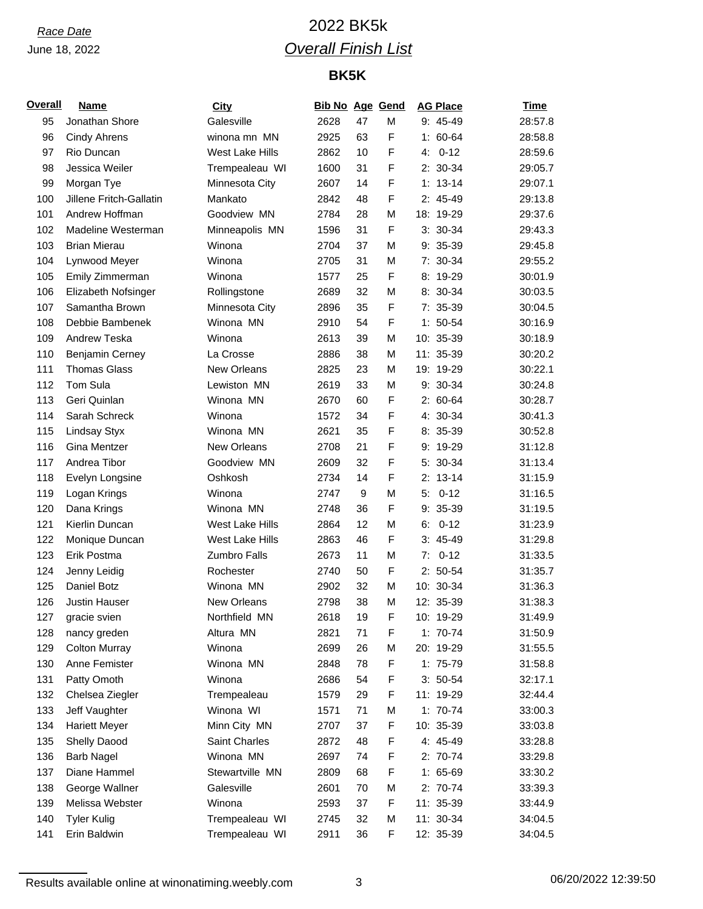# *Race Date* 2022 BK5k *Overall Finish List*

## **BK5K**

| <b>Overall</b> | <b>Name</b>             | <b>City</b>        | <b>Bib No Age Gend</b> |    |             |    | <b>AG Place</b> | <b>Time</b> |
|----------------|-------------------------|--------------------|------------------------|----|-------------|----|-----------------|-------------|
| 95             | Jonathan Shore          | Galesville         | 2628                   | 47 | M           |    | 9: 45-49        | 28:57.8     |
| 96             | Cindy Ahrens            | winona mn MN       | 2925                   | 63 | F           |    | $1: 60-64$      | 28:58.8     |
| 97             | Rio Duncan              | West Lake Hills    | 2862                   | 10 | F           | 4: | $0 - 12$        | 28:59.6     |
| 98             | Jessica Weiler          | Trempealeau WI     | 1600                   | 31 | F           |    | $2: 30-34$      | 29:05.7     |
| 99             | Morgan Tye              | Minnesota City     | 2607                   | 14 | F           |    | $1: 13-14$      | 29:07.1     |
| 100            | Jillene Fritch-Gallatin | Mankato            | 2842                   | 48 | F           |    | $2: 45-49$      | 29:13.8     |
| 101            | Andrew Hoffman          | Goodview MN        | 2784                   | 28 | M           |    | 18: 19-29       | 29:37.6     |
| 102            | Madeline Westerman      | Minneapolis MN     | 1596                   | 31 | F           |    | $3: 30-34$      | 29:43.3     |
| 103            | <b>Brian Mierau</b>     | Winona             | 2704                   | 37 | M           |    | $9: 35-39$      | 29:45.8     |
| 104            | Lynwood Meyer           | Winona             | 2705                   | 31 | M           |    | 7: 30-34        | 29:55.2     |
| 105            | Emily Zimmerman         | Winona             | 1577                   | 25 | $\mathsf F$ |    | 8: 19-29        | 30:01.9     |
| 106            | Elizabeth Nofsinger     | Rollingstone       | 2689                   | 32 | M           |    | 8: 30-34        | 30:03.5     |
| 107            | Samantha Brown          | Minnesota City     | 2896                   | 35 | F           |    | 7: 35-39        | 30:04.5     |
| 108            | Debbie Bambenek         | Winona MN          | 2910                   | 54 | F           |    | $1: 50-54$      | 30:16.9     |
| 109            | Andrew Teska            | Winona             | 2613                   | 39 | M           |    | 10: 35-39       | 30:18.9     |
| 110            | <b>Benjamin Cerney</b>  | La Crosse          | 2886                   | 38 | M           |    | 11: 35-39       | 30:20.2     |
| 111            | <b>Thomas Glass</b>     | <b>New Orleans</b> | 2825                   | 23 | M           |    | 19: 19-29       | 30:22.1     |
| 112            | Tom Sula                | Lewiston MN        | 2619                   | 33 | M           |    | 9: 30-34        | 30:24.8     |
| 113            | Geri Quinlan            | Winona MN          | 2670                   | 60 | $\mathsf F$ |    | $2: 60-64$      | 30:28.7     |
| 114            | Sarah Schreck           | Winona             | 1572                   | 34 | F           |    | 4: 30-34        | 30:41.3     |
| 115            | Lindsay Styx            | Winona MN          | 2621                   | 35 | F           |    | 8: 35-39        | 30:52.8     |
| 116            | Gina Mentzer            | <b>New Orleans</b> | 2708                   | 21 | F           |    | 9: 19-29        | 31:12.8     |
| 117            | Andrea Tibor            | Goodview MN        | 2609                   | 32 | F           |    | 5: 30-34        | 31:13.4     |
| 118            | Evelyn Longsine         | Oshkosh            | 2734                   | 14 | F           |    | $2: 13-14$      | 31:15.9     |
| 119            | Logan Krings            | Winona             | 2747                   | 9  | M           | 5: | $0 - 12$        | 31:16.5     |
| 120            | Dana Krings             | Winona MN          | 2748                   | 36 | F           |    | $9: 35-39$      | 31:19.5     |
| 121            | Kierlin Duncan          | West Lake Hills    | 2864                   | 12 | M           | 6: | $0 - 12$        | 31:23.9     |
| 122            | Monique Duncan          | West Lake Hills    | 2863                   | 46 | F           |    | $3: 45-49$      | 31:29.8     |
| 123            | Erik Postma             | Zumbro Falls       | 2673                   | 11 | M           | 7: | $0 - 12$        | 31:33.5     |
| 124            | Jenny Leidig            | Rochester          | 2740                   | 50 | F           |    | $2: 50-54$      | 31:35.7     |
| 125            | Daniel Botz             | Winona MN          | 2902                   | 32 | M           |    | 10: 30-34       | 31:36.3     |
| 126            | <b>Justin Hauser</b>    | New Orleans        | 2798                   | 38 | M           |    | 12: 35-39       | 31:38.3     |
| 127            | gracie svien            | Northfield MN      | 2618                   | 19 | F           |    | 10: 19-29       | 31:49.9     |
| 128            | nancy greden            | Altura MN          | 2821                   | 71 | F           |    | $1: 70-74$      | 31:50.9     |
| 129            | <b>Colton Murray</b>    | Winona             | 2699                   | 26 | М           |    | 20: 19-29       | 31:55.5     |
| 130            | Anne Femister           | Winona MN          | 2848                   | 78 | F           |    | $1: 75-79$      | 31:58.8     |
| 131            | Patty Omoth             | Winona             | 2686                   | 54 | F           |    | $3: 50-54$      | 32:17.1     |
| 132            | Chelsea Ziegler         | Trempealeau        | 1579                   | 29 | F           |    | 11: 19-29       | 32:44.4     |
| 133            | Jeff Vaughter           | Winona WI          | 1571                   | 71 | M           |    | $1: 70-74$      | 33:00.3     |
| 134            | <b>Hariett Meyer</b>    | Minn City MN       | 2707                   | 37 | F           |    | 10: 35-39       | 33:03.8     |
| 135            | Shelly Daood            | Saint Charles      | 2872                   | 48 | F           |    | 4: 45-49        | 33:28.8     |
| 136            | <b>Barb Nagel</b>       | Winona MN          | 2697                   | 74 | F           |    | 2: 70-74        | 33:29.8     |
| 137            | Diane Hammel            | Stewartville MN    | 2809                   | 68 | F           |    | $1: 65-69$      | 33:30.2     |
| 138            | George Wallner          | Galesville         | 2601                   | 70 | М           |    | 2: 70-74        | 33:39.3     |
| 139            | Melissa Webster         | Winona             | 2593                   | 37 | F           |    | 11: 35-39       | 33:44.9     |
| 140            | <b>Tyler Kulig</b>      | Trempealeau WI     | 2745                   | 32 | M           |    | 11: 30-34       | 34:04.5     |
| 141            | Erin Baldwin            | Trempealeau WI     | 2911                   | 36 | F           |    | 12: 35-39       | 34:04.5     |

Results available online at winonatiming.weebly.com 3 06/20/2022 12:39:50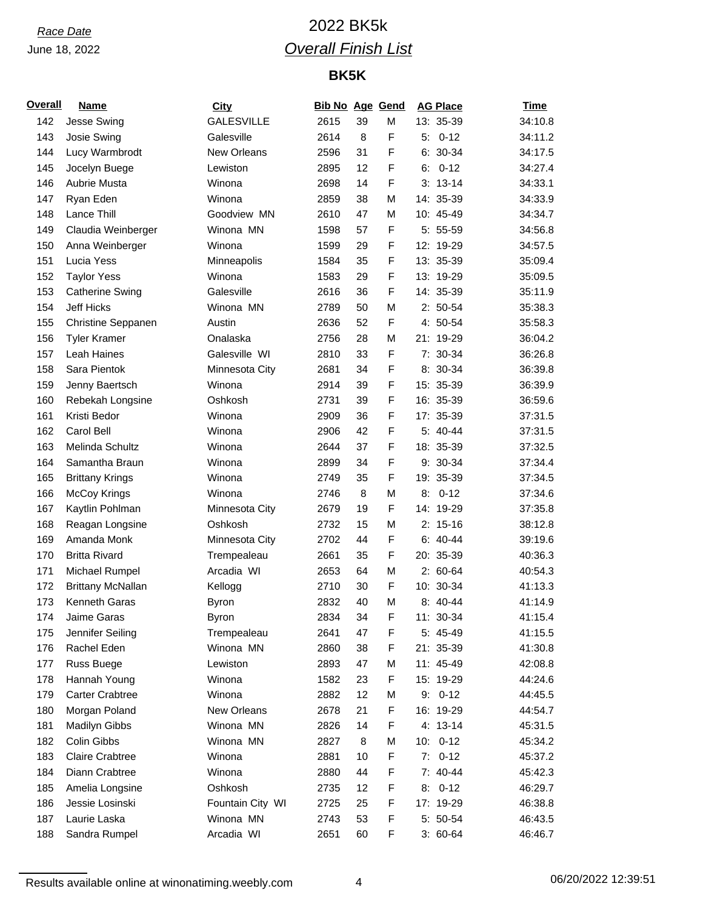# *Race Date* 2022 BK5k *Overall Finish List*

## **BK5K**

| Overall | <b>Name</b>               | <b>City</b>       | <b>Bib No Age Gend</b> |    |   |    | <b>AG Place</b> | <u>Time</u> |
|---------|---------------------------|-------------------|------------------------|----|---|----|-----------------|-------------|
| 142     | Jesse Swing               | <b>GALESVILLE</b> | 2615                   | 39 | M |    | 13: 35-39       | 34:10.8     |
| 143     | Josie Swing               | Galesville        | 2614                   | 8  | F |    | $5: 0-12$       | 34:11.2     |
| 144     | Lucy Warmbrodt            | New Orleans       | 2596                   | 31 | F |    | $6: 30-34$      | 34:17.5     |
| 145     | Jocelyn Buege             | Lewiston          | 2895                   | 12 | F | 6: | $0 - 12$        | 34:27.4     |
| 146     | Aubrie Musta              | Winona            | 2698                   | 14 | F |    | $3: 13-14$      | 34:33.1     |
| 147     | Ryan Eden                 | Winona            | 2859                   | 38 | M |    | 14: 35-39       | 34:33.9     |
| 148     | Lance Thill               | Goodview MN       | 2610                   | 47 | M |    | 10: 45-49       | 34:34.7     |
| 149     | Claudia Weinberger        | Winona MN         | 1598                   | 57 | F |    | 5: 55-59        | 34:56.8     |
| 150     | Anna Weinberger           | Winona            | 1599                   | 29 | F |    | 12: 19-29       | 34:57.5     |
| 151     | Lucia Yess                | Minneapolis       | 1584                   | 35 | F |    | 13: 35-39       | 35:09.4     |
| 152     | <b>Taylor Yess</b>        | Winona            | 1583                   | 29 | F |    | 13: 19-29       | 35:09.5     |
| 153     | <b>Catherine Swing</b>    | Galesville        | 2616                   | 36 | F |    | 14: 35-39       | 35:11.9     |
| 154     | <b>Jeff Hicks</b>         | Winona MN         | 2789                   | 50 | M |    | $2: 50-54$      | 35:38.3     |
| 155     | <b>Christine Seppanen</b> | Austin            | 2636                   | 52 | F |    | 4: 50-54        | 35:58.3     |
| 156     | <b>Tyler Kramer</b>       | Onalaska          | 2756                   | 28 | М |    | 21: 19-29       | 36:04.2     |
| 157     | Leah Haines               | Galesville WI     | 2810                   | 33 | F |    | 7: 30-34        | 36:26.8     |
| 158     | Sara Pientok              | Minnesota City    | 2681                   | 34 | F |    | 8: 30-34        | 36:39.8     |
| 159     | Jenny Baertsch            | Winona            | 2914                   | 39 | F |    | 15: 35-39       | 36:39.9     |
| 160     | Rebekah Longsine          | Oshkosh           | 2731                   | 39 | F |    | 16: 35-39       | 36:59.6     |
| 161     | Kristi Bedor              | Winona            | 2909                   | 36 | F |    | 17: 35-39       | 37:31.5     |
| 162     | Carol Bell                | Winona            | 2906                   | 42 | F |    | 5: 40-44        | 37:31.5     |
| 163     | Melinda Schultz           | Winona            | 2644                   | 37 | F |    | 18: 35-39       | 37:32.5     |
| 164     | Samantha Braun            | Winona            | 2899                   | 34 | F |    | 9: 30-34        | 37:34.4     |
| 165     | <b>Brittany Krings</b>    | Winona            | 2749                   | 35 | F |    | 19: 35-39       | 37:34.5     |
| 166     | <b>McCoy Krings</b>       | Winona            | 2746                   | 8  | М |    | $8: 0-12$       | 37:34.6     |
| 167     | Kaytlin Pohlman           | Minnesota City    | 2679                   | 19 | F |    | 14: 19-29       | 37:35.8     |
| 168     | Reagan Longsine           | Oshkosh           | 2732                   | 15 | M |    | $2: 15-16$      | 38:12.8     |
| 169     | Amanda Monk               | Minnesota City    | 2702                   | 44 | F |    | $6: 40-44$      | 39:19.6     |
| 170     | <b>Britta Rivard</b>      | Trempealeau       | 2661                   | 35 | F |    | 20: 35-39       | 40:36.3     |
| 171     | Michael Rumpel            | Arcadia WI        | 2653                   | 64 | M |    | $2: 60-64$      | 40:54.3     |
| 172     | <b>Brittany McNallan</b>  | Kellogg           | 2710                   | 30 | F |    | 10: 30-34       | 41:13.3     |
| 173     | Kenneth Garas             | <b>Byron</b>      | 2832                   | 40 | M |    | 8: 40-44        | 41:14.9     |
| 174     | Jaime Garas               | Byron             | 2834                   | 34 | F |    | 11: 30-34       | 41:15.4     |
| 175     | Jennifer Seiling          | Trempealeau       | 2641                   | 47 | F |    | 5: 45-49        | 41:15.5     |
| 176     | Rachel Eden               | Winona MN         | 2860                   | 38 | F |    | 21: 35-39       | 41:30.8     |
| 177     | Russ Buege                | Lewiston          | 2893                   | 47 | М |    | 11: 45-49       | 42:08.8     |
| 178     | Hannah Young              | Winona            | 1582                   | 23 | F |    | 15: 19-29       | 44:24.6     |
| 179     | <b>Carter Crabtree</b>    | Winona            | 2882                   | 12 | М |    | $9: 0-12$       | 44:45.5     |
| 180     | Morgan Poland             | New Orleans       | 2678                   | 21 | F |    | 16: 19-29       | 44:54.7     |
| 181     | Madilyn Gibbs             | Winona MN         | 2826                   | 14 | F |    | 4: 13-14        | 45:31.5     |
| 182     | Colin Gibbs               | Winona MN         | 2827                   | 8  | М |    | $10: 0-12$      | 45:34.2     |
| 183     | <b>Claire Crabtree</b>    | Winona            | 2881                   | 10 | F | 7: | $0 - 12$        | 45:37.2     |
| 184     | Diann Crabtree            | Winona            | 2880                   | 44 | F |    | 7: 40-44        | 45:42.3     |
| 185     | Amelia Longsine           | Oshkosh           | 2735                   | 12 | F | 8: | $0 - 12$        | 46:29.7     |
| 186     | Jessie Losinski           | Fountain City WI  | 2725                   | 25 | F |    | 17: 19-29       | 46:38.8     |
| 187     | Laurie Laska              | Winona MN         | 2743                   | 53 | F |    | 5: 50-54        | 46:43.5     |
| 188     | Sandra Rumpel             | Arcadia WI        | 2651                   | 60 | F |    | $3:60-64$       | 46:46.7     |

Results available online at winonatiming.weebly.com <br>
4 06/20/2022 12:39:51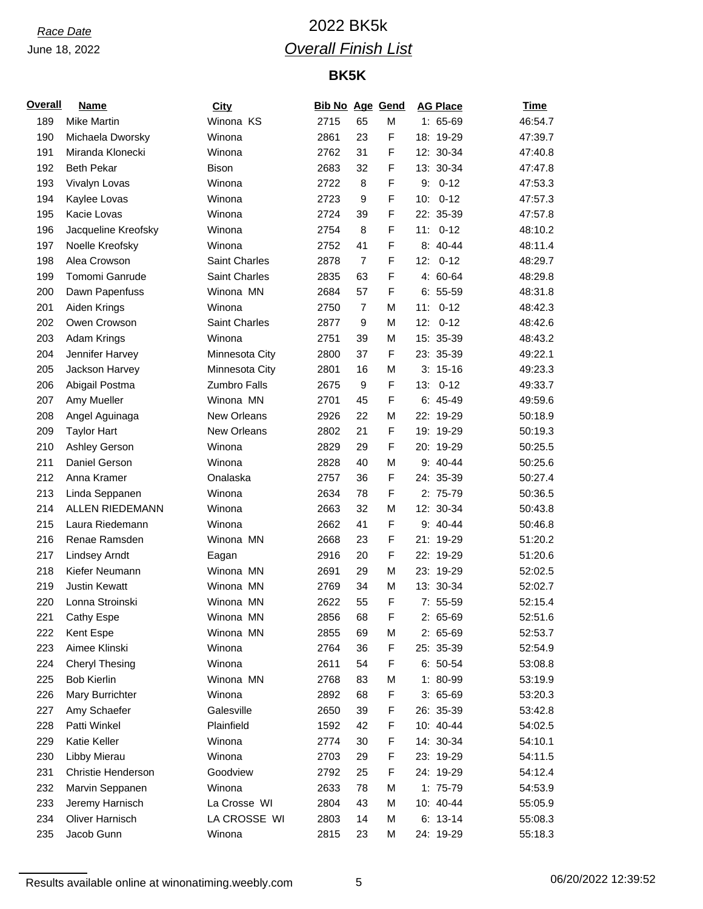# *Race Date* 2022 BK5k *Overall Finish List*

## **BK5K**

| <b>Overall</b> | <b>Name</b>                              | City                | <b>Bib No Age Gend</b> |                |        |     | <b>AG Place</b> | <b>Time</b> |
|----------------|------------------------------------------|---------------------|------------------------|----------------|--------|-----|-----------------|-------------|
| 189            | <b>Mike Martin</b>                       | Winona KS           | 2715                   | 65             | M      |     | $1: 65-69$      | 46:54.7     |
| 190            | Michaela Dworsky                         | Winona              | 2861                   | 23             | F      |     | 18: 19-29       | 47:39.7     |
| 191            | Miranda Klonecki                         | Winona              | 2762                   | 31             | F      |     | 12: 30-34       | 47:40.8     |
| 192            | <b>Beth Pekar</b>                        | <b>Bison</b>        | 2683                   | 32             | F      |     | 13: 30-34       | 47:47.8     |
| 193            | Vivalyn Lovas                            | Winona              | 2722                   | 8              | F      | 9:  | $0 - 12$        | 47:53.3     |
| 194            | Kaylee Lovas                             | Winona              | 2723                   | 9              | F      | 10: | $0 - 12$        | 47:57.3     |
| 195            | Kacie Lovas                              | Winona              | 2724                   | 39             | F      |     | 22: 35-39       | 47:57.8     |
| 196            | Jacqueline Kreofsky                      | Winona              | 2754                   | 8              | F      | 11: | $0 - 12$        | 48:10.2     |
| 197            | Noelle Kreofsky                          | Winona              | 2752                   | 41             | F      |     | 8: 40-44        | 48:11.4     |
| 198            | Alea Crowson                             | Saint Charles       | 2878                   | $\overline{7}$ | F      | 12: | $0 - 12$        | 48:29.7     |
| 199            | Tomomi Ganrude                           | Saint Charles       | 2835                   | 63             | F      |     | 4: 60-64        | 48:29.8     |
| 200            | Dawn Papenfuss                           | Winona MN           | 2684                   | 57             | F      |     | $6: 55-59$      | 48:31.8     |
| 201            | Aiden Krings                             | Winona              | 2750                   | $\overline{7}$ | M      | 11: | $0 - 12$        | 48:42.3     |
| 202            | Owen Crowson                             | Saint Charles       | 2877                   | 9              | M      | 12: | $0 - 12$        | 48:42.6     |
| 203            | Adam Krings                              | Winona              | 2751                   | 39             | M      |     | 15: 35-39       | 48:43.2     |
| 204            | Jennifer Harvey                          | Minnesota City      | 2800                   | 37             | F      |     | 23: 35-39       | 49:22.1     |
| 205            | Jackson Harvey                           | Minnesota City      | 2801                   | 16             | M      |     | $3: 15-16$      | 49:23.3     |
| 206            | Abigail Postma                           | <b>Zumbro Falls</b> | 2675                   | 9              | F      |     | $13: 0-12$      | 49:33.7     |
| 207            | Amy Mueller                              | Winona MN           | 2701                   | 45             | F      |     | $6: 45-49$      | 49:59.6     |
| 208            | Angel Aguinaga                           | New Orleans         | 2926                   | 22             | M      |     | 22: 19-29       | 50:18.9     |
| 209            | <b>Taylor Hart</b>                       | New Orleans         | 2802                   | 21             | F      |     | 19: 19-29       | 50:19.3     |
| 210            | Ashley Gerson                            | Winona              | 2829                   | 29             | F      |     | 20: 19-29       | 50:25.5     |
| 211            | Daniel Gerson                            | Winona              | 2828                   | 40             | M      |     | $9:40-44$       | 50:25.6     |
| 212            | Anna Kramer                              | Onalaska            |                        | 36             | F      |     | 24: 35-39       | 50:27.4     |
| 213            |                                          | Winona              | 2757<br>2634           | 78             | F      |     | 2: 75-79        | 50:36.5     |
|                | Linda Seppanen<br><b>ALLEN RIEDEMANN</b> | Winona              |                        | 32             |        |     |                 |             |
| 214            |                                          |                     | 2663                   |                | M<br>F |     | 12: 30-34       | 50:43.8     |
| 215            | Laura Riedemann                          | Winona              | 2662                   | 41             |        |     | 9: 40-44        | 50:46.8     |
| 216            | Renae Ramsden                            | Winona MN           | 2668                   | 23             | F      |     | 21: 19-29       | 51:20.2     |
| 217            | <b>Lindsey Arndt</b>                     | Eagan               | 2916                   | 20             | F      |     | 22: 19-29       | 51:20.6     |
| 218            | Kiefer Neumann                           | Winona MN           | 2691                   | 29             | M      |     | 23: 19-29       | 52:02.5     |
| 219            | <b>Justin Kewatt</b>                     | Winona MN           | 2769                   | 34             | M      |     | 13: 30-34       | 52:02.7     |
| 220            | Lonna Stroinski                          | Winona MN           | 2622                   | 55             | F      |     | $7: 55-59$      | 52:15.4     |
| 221            | Cathy Espe                               | Winona MN           | 2856                   | 68             | F      |     | 2: 65-69        | 52:51.6     |
| 222            | Kent Espe                                | Winona MN           | 2855                   | 69             | M      |     | 2: 65-69        | 52:53.7     |
| 223            | Aimee Klinski                            | Winona              | 2764                   | 36             | F      |     | 25: 35-39       | 52:54.9     |
| 224            | <b>Cheryl Thesing</b>                    | Winona              | 2611                   | 54             | F      |     | $6: 50-54$      | 53:08.8     |
| 225            | <b>Bob Kierlin</b>                       | Winona MN           | 2768                   | 83             | M      |     | $1:80-99$       | 53:19.9     |
| 226            | Mary Burrichter                          | Winona              | 2892                   | 68             | F      |     | $3:65-69$       | 53:20.3     |
| 227            | Amy Schaefer                             | Galesville          | 2650                   | 39             | F      |     | 26: 35-39       | 53:42.8     |
| 228            | Patti Winkel                             | Plainfield          | 1592                   | 42             | F      |     | 10: 40-44       | 54:02.5     |
| 229            | Katie Keller                             | Winona              | 2774                   | 30             | F      |     | 14: 30-34       | 54:10.1     |
| 230            | Libby Mierau                             | Winona              | 2703                   | 29             | F      |     | 23: 19-29       | 54:11.5     |
| 231            | Christie Henderson                       | Goodview            | 2792                   | 25             | F      |     | 24: 19-29       | 54:12.4     |
| 232            | Marvin Seppanen                          | Winona              | 2633                   | 78             | M      |     | 1: 75-79        | 54:53.9     |
| 233            | Jeremy Harnisch                          | La Crosse WI        | 2804                   | 43             | M      |     | 10: 40-44       | 55:05.9     |
| 234            | Oliver Harnisch                          | LA CROSSE WI        | 2803                   | 14             | M      |     | $6: 13-14$      | 55:08.3     |
| 235            | Jacob Gunn                               | Winona              | 2815                   | 23             | M      |     | 24: 19-29       | 55:18.3     |

Results available online at winonatiming.weebly.com 5 5 06/20/2022 12:39:52